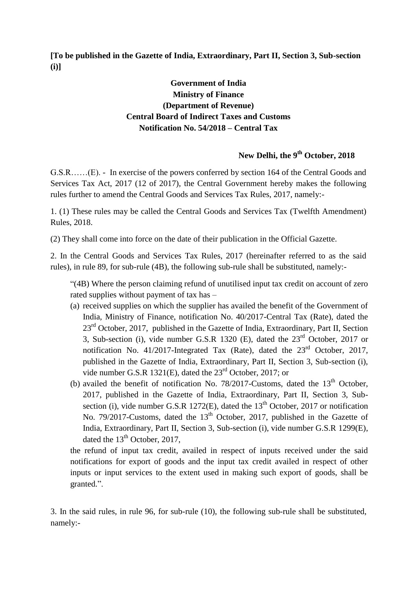**[To be published in the Gazette of India, Extraordinary, Part II, Section 3, Sub-section (i)]**

## **Government of India Ministry of Finance (Department of Revenue) Central Board of Indirect Taxes and Customs Notification No. 54/2018 – Central Tax**

## **New Delhi, the 9 th October, 2018**

G.S.R……(E). - In exercise of the powers conferred by section 164 of the Central Goods and Services Tax Act, 2017 (12 of 2017), the Central Government hereby makes the following rules further to amend the Central Goods and Services Tax Rules, 2017, namely:-

1. (1) These rules may be called the Central Goods and Services Tax (Twelfth Amendment) Rules, 2018.

(2) They shall come into force on the date of their publication in the Official Gazette.

2. In the Central Goods and Services Tax Rules, 2017 (hereinafter referred to as the said rules), in rule 89, for sub-rule (4B), the following sub-rule shall be substituted, namely:-

"(4B) Where the person claiming refund of unutilised input tax credit on account of zero rated supplies without payment of tax has –

- (a) received supplies on which the supplier has availed the benefit of the Government of India, Ministry of Finance, notification No. 40/2017-Central Tax (Rate), dated the 23<sup>rd</sup> October, 2017, published in the Gazette of India, Extraordinary, Part II, Section 3, Sub-section (i), vide number G.S.R 1320 (E), dated the  $23<sup>rd</sup>$  October, 2017 or notification No. 41/2017-Integrated Tax (Rate), dated the  $23<sup>rd</sup>$  October, 2017, published in the Gazette of India, Extraordinary, Part II, Section 3, Sub-section (i), vide number G.S.R 1321(E), dated the 23rd October, 2017; or
- (b) availed the benefit of notification No. 78/2017-Customs, dated the  $13<sup>th</sup>$  October, 2017, published in the Gazette of India, Extraordinary, Part II, Section 3, Subsection (i), vide number G.S.R 1272(E), dated the  $13<sup>th</sup>$  October, 2017 or notification No. 79/2017-Customs, dated the 13<sup>th</sup> October, 2017, published in the Gazette of India, Extraordinary, Part II, Section 3, Sub-section (i), vide number G.S.R 1299(E), dated the  $13<sup>th</sup>$  October, 2017,

the refund of input tax credit, availed in respect of inputs received under the said notifications for export of goods and the input tax credit availed in respect of other inputs or input services to the extent used in making such export of goods, shall be granted.".

3. In the said rules, in rule 96, for sub-rule (10), the following sub-rule shall be substituted, namely:-